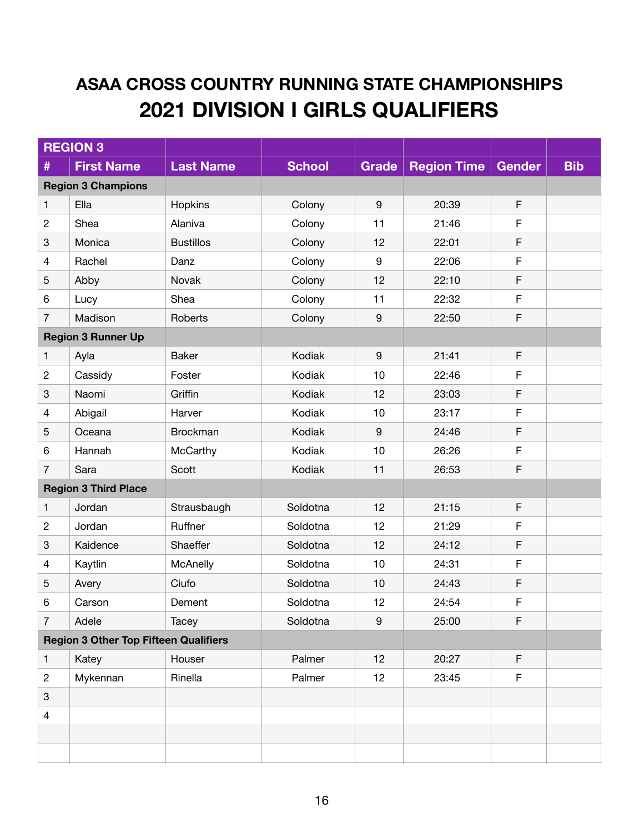## **ASAA CROSS COUNTRY RUNNING STATE CHAMPIONSHIPS 2021 DIVISION I GIRLS QUALIFIERS**

|                                              | <b>REGION 3</b>             |                  |               |                  |                    |               |            |
|----------------------------------------------|-----------------------------|------------------|---------------|------------------|--------------------|---------------|------------|
| #                                            | <b>First Name</b>           | <b>Last Name</b> | <b>School</b> | <b>Grade</b>     | <b>Region Time</b> | <b>Gender</b> | <b>Bib</b> |
|                                              | <b>Region 3 Champions</b>   |                  |               |                  |                    |               |            |
| $\mathbf{1}$                                 | Ella                        | Hopkins          | Colony        | $\boldsymbol{9}$ | 20:39              | $\mathsf F$   |            |
| $\mathbf{2}$                                 | Shea                        | Alaniva          | Colony        | 11               | 21:46              | F             |            |
| $\ensuremath{\mathsf{3}}$                    | Monica                      | <b>Bustillos</b> | Colony        | 12               | 22:01              | F             |            |
| $\overline{4}$                               | Rachel                      | Danz             | Colony        | $\boldsymbol{9}$ | 22:06              | $\mathsf F$   |            |
| 5                                            | Abby                        | Novak            | Colony        | 12               | 22:10              | F             |            |
| 6                                            | Lucy                        | Shea             | Colony        | 11               | 22:32              | $\mathsf F$   |            |
| $\overline{7}$                               | Madison                     | Roberts          | Colony        | $\boldsymbol{9}$ | 22:50              | $\mathsf F$   |            |
|                                              | <b>Region 3 Runner Up</b>   |                  |               |                  |                    |               |            |
| $\mathbf{1}$                                 | Ayla                        | <b>Baker</b>     | Kodiak        | $\boldsymbol{9}$ | 21:41              | $\mathsf F$   |            |
| $\mathbf{2}$                                 | Cassidy                     | Foster           | Kodiak        | 10               | 22:46              | F             |            |
| $\ensuremath{\mathsf{3}}$                    | Naomi                       | Griffin          | Kodiak        | 12               | 23:03              | F             |            |
| $\overline{4}$                               | Abigail                     | Harver           | Kodiak        | 10               | 23:17              | $\mathsf F$   |            |
| $\sqrt{5}$                                   | Oceana                      | <b>Brockman</b>  | Kodiak        | $9\,$            | 24:46              | F             |            |
| 6                                            | Hannah                      | McCarthy         | Kodiak        | 10               | 26:26              | $\mathsf F$   |            |
| $\overline{7}$                               | Sara                        | Scott            | Kodiak        | 11               | 26:53              | F             |            |
|                                              | <b>Region 3 Third Place</b> |                  |               |                  |                    |               |            |
| 1                                            | Jordan                      | Strausbaugh      | Soldotna      | 12               | 21:15              | $\mathsf F$   |            |
| $\mathbf{2}$                                 | Jordan                      | Ruffner          | Soldotna      | 12               | 21:29              | F             |            |
| $\ensuremath{\mathsf{3}}$                    | Kaidence                    | Shaeffer         | Soldotna      | 12               | 24:12              | F             |            |
| $\overline{4}$                               | Kaytlin                     | McAnelly         | Soldotna      | 10               | 24:31              | $\mathsf F$   |            |
| 5                                            | Avery                       | Ciufo            | Soldotna      | 10               | 24:43              | F             |            |
| 6                                            | Carson                      | Dement           | Soldotna      | 12               | 24:54              | F             |            |
| $\overline{7}$                               | Adele                       | Tacey            | Soldotna      | $\boldsymbol{9}$ | 25:00              | $\mathsf F$   |            |
| <b>Region 3 Other Top Fifteen Qualifiers</b> |                             |                  |               |                  |                    |               |            |
| 1                                            | Katey                       | Houser           | Palmer        | 12               | 20:27              | $\mathsf F$   |            |
| $\overline{c}$                               | Mykennan                    | Rinella          | Palmer        | 12               | 23:45              | F             |            |
| $\ensuremath{\mathsf{3}}$                    |                             |                  |               |                  |                    |               |            |
| $\overline{4}$                               |                             |                  |               |                  |                    |               |            |
|                                              |                             |                  |               |                  |                    |               |            |
|                                              |                             |                  |               |                  |                    |               |            |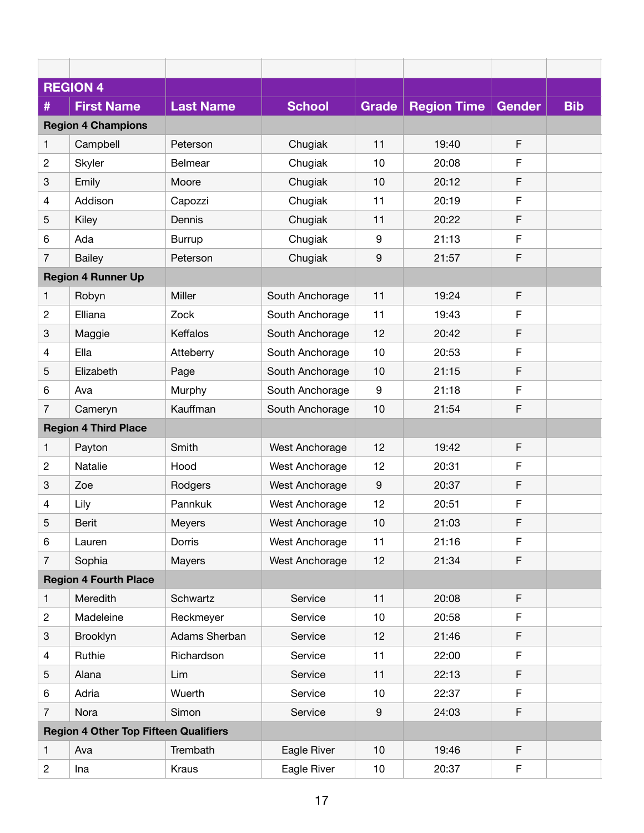|                | <b>REGION 4</b>                              |                  |                 |                 |                    |               |            |
|----------------|----------------------------------------------|------------------|-----------------|-----------------|--------------------|---------------|------------|
| #              | <b>First Name</b>                            | <b>Last Name</b> | <b>School</b>   | <b>Grade</b>    | <b>Region Time</b> | <b>Gender</b> | <b>Bib</b> |
|                | <b>Region 4 Champions</b>                    |                  |                 |                 |                    |               |            |
| 1              | Campbell                                     | Peterson         | Chugiak         | 11              | 19:40              | F             |            |
| $\overline{c}$ | Skyler                                       | <b>Belmear</b>   | Chugiak         | 10              | 20:08              | F             |            |
| 3              | Emily                                        | Moore            | Chugiak         | 10              | 20:12              | F             |            |
| 4              | Addison                                      | Capozzi          | Chugiak         | 11              | 20:19              | F             |            |
| 5              | Kiley                                        | Dennis           | Chugiak         | 11              | 20:22              | F             |            |
| 6              | Ada                                          | <b>Burrup</b>    | Chugiak         | 9               | 21:13              | F             |            |
| 7              | <b>Bailey</b>                                | Peterson         | Chugiak         | 9               | 21:57              | F             |            |
|                | <b>Region 4 Runner Up</b>                    |                  |                 |                 |                    |               |            |
| 1              | Robyn                                        | Miller           | South Anchorage | 11              | 19:24              | F             |            |
| $\overline{c}$ | Elliana                                      | Zock             | South Anchorage | 11              | 19:43              | F             |            |
| 3              | Maggie                                       | Keffalos         | South Anchorage | 12              | 20:42              | F             |            |
| 4              | Ella                                         | Atteberry        | South Anchorage | 10              | 20:53              | F             |            |
| 5              | Elizabeth                                    | Page             | South Anchorage | 10              | 21:15              | F             |            |
| 6              | Ava                                          | Murphy           | South Anchorage | 9               | 21:18              | F             |            |
| 7              | Cameryn                                      | Kauffman         | South Anchorage | 10              | 21:54              | F             |            |
|                | <b>Region 4 Third Place</b>                  |                  |                 |                 |                    |               |            |
| 1              | Payton                                       | Smith            | West Anchorage  | 12              | 19:42              | F             |            |
| $\overline{c}$ | Natalie                                      | Hood             | West Anchorage  | 12              | 20:31              | F             |            |
| 3              | Zoe                                          | Rodgers          | West Anchorage  | 9               | 20:37              | F             |            |
| 4              | Lily                                         | Pannkuk          | West Anchorage  | 12              | 20:51              | F             |            |
| 5              | <b>Berit</b>                                 | Meyers           | West Anchorage  | 10              | 21:03              | F             |            |
| 6              | Lauren                                       | Dorris           | West Anchorage  | 11              | 21:16              | F             |            |
| $\overline{7}$ | Sophia                                       | Mayers           | West Anchorage  | 12              | 21:34              | F             |            |
|                | <b>Region 4 Fourth Place</b>                 |                  |                 |                 |                    |               |            |
| 1              | Meredith                                     | Schwartz         | Service         | 11              | 20:08              | F             |            |
| $\mathbf{2}$   | Madeleine                                    | Reckmeyer        | Service         | 10              | 20:58              | F.            |            |
| 3              | Brooklyn                                     | Adams Sherban    | Service         | 12              | 21:46              | F             |            |
| 4              | Ruthie                                       | Richardson       | Service         | 11              | 22:00              | F             |            |
| 5              | Alana                                        | Lim              | Service         | 11              | 22:13              | F             |            |
| 6              | Adria                                        | Wuerth           | Service         | 10              | 22:37              | F             |            |
| $\overline{7}$ | Nora                                         | Simon            | Service         | 9               | 24:03              | F             |            |
|                | <b>Region 4 Other Top Fifteen Qualifiers</b> |                  |                 |                 |                    |               |            |
| 1              | Ava                                          | Trembath         | Eagle River     | 10              | 19:46              | F             |            |
| $\mathbf{2}$   | Ina                                          | Kraus            | Eagle River     | 10 <sub>1</sub> | 20:37              | F             |            |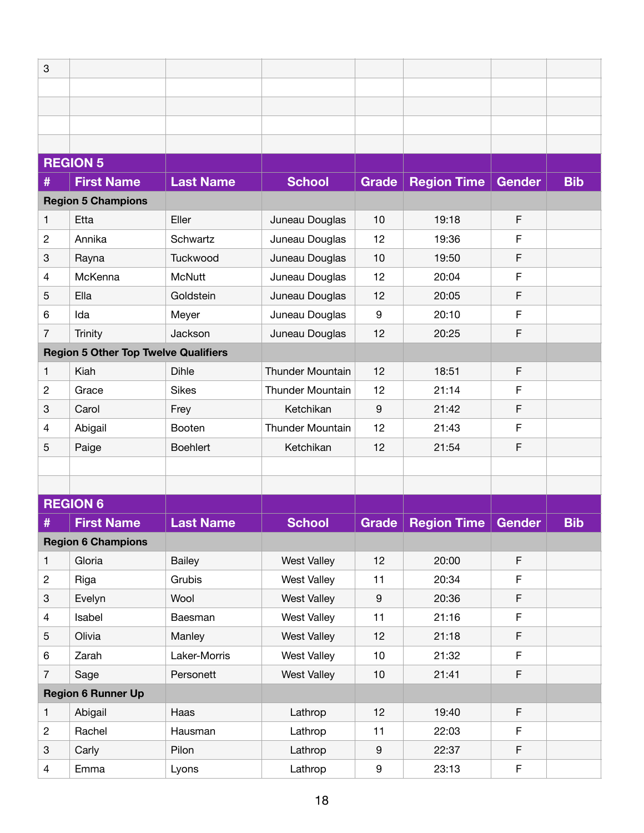| 3              |                                             |                  |                         |                 |                    |               |            |
|----------------|---------------------------------------------|------------------|-------------------------|-----------------|--------------------|---------------|------------|
|                |                                             |                  |                         |                 |                    |               |            |
|                |                                             |                  |                         |                 |                    |               |            |
|                |                                             |                  |                         |                 |                    |               |            |
|                |                                             |                  |                         |                 |                    |               |            |
|                | <b>REGION 5</b>                             |                  |                         |                 |                    |               |            |
| #              | <b>First Name</b>                           | <b>Last Name</b> | <b>School</b>           | <b>Grade</b>    | <b>Region Time</b> | <b>Gender</b> | <b>Bib</b> |
|                | <b>Region 5 Champions</b>                   |                  |                         |                 |                    |               |            |
| 1              | Etta                                        | Eller            | Juneau Douglas          | 10              | 19:18              | F             |            |
| $\overline{c}$ | Annika                                      | Schwartz         | Juneau Douglas          | 12              | 19:36              | F             |            |
| 3              | Rayna                                       | Tuckwood         | Juneau Douglas          | 10              | 19:50              | F             |            |
| 4              | McKenna                                     | <b>McNutt</b>    | Juneau Douglas          | 12              | 20:04              | F             |            |
| 5              | Ella                                        | Goldstein        | Juneau Douglas          | 12              | 20:05              | F             |            |
| 6              | Ida                                         | Meyer            | Juneau Douglas          | 9               | 20:10              | F             |            |
| $\overline{7}$ | <b>Trinity</b>                              | Jackson          | Juneau Douglas          | 12              | 20:25              | F             |            |
|                | <b>Region 5 Other Top Twelve Qualifiers</b> |                  |                         |                 |                    |               |            |
| $\mathbf{1}$   | Kiah                                        | <b>Dihle</b>     | <b>Thunder Mountain</b> | 12              | 18:51              | $\mathsf F$   |            |
| $\overline{c}$ | Grace                                       | <b>Sikes</b>     | <b>Thunder Mountain</b> | 12              | 21:14              | F             |            |
| 3              | Carol                                       | Frey             | Ketchikan               | 9               | 21:42              | F             |            |
| 4              | Abigail                                     | Booten           | <b>Thunder Mountain</b> | 12              | 21:43              | F             |            |
| 5              | Paige                                       | <b>Boehlert</b>  | Ketchikan               | 12              | 21:54              | F             |            |
|                |                                             |                  |                         |                 |                    |               |            |
|                |                                             |                  |                         |                 |                    |               |            |
|                | <b>REGION 6</b>                             |                  |                         |                 |                    |               |            |
| #              | <b>First Name</b>                           | <b>Last Name</b> | <b>School</b>           | <b>Grade</b>    | <b>Region Time</b> | <b>Gender</b> | <b>Bib</b> |
|                | <b>Region 6 Champions</b>                   |                  |                         |                 |                    |               |            |
| 1              | Gloria                                      | <b>Bailey</b>    | <b>West Valley</b>      | 12              | 20:00              | F             |            |
| $\overline{c}$ | Riga                                        | Grubis           | <b>West Valley</b>      | 11              | 20:34              | F             |            |
| 3              | Evelyn                                      | Wool             | <b>West Valley</b>      | 9               | 20:36              | F             |            |
| $\overline{4}$ | Isabel                                      | Baesman          | <b>West Valley</b>      | 11              | 21:16              | F             |            |
| 5              | Olivia                                      | Manley           | <b>West Valley</b>      | 12              | 21:18              | F             |            |
| 6              | Zarah                                       | Laker-Morris     | <b>West Valley</b>      | 10 <sub>1</sub> | 21:32              | F             |            |
| $\overline{7}$ | Sage                                        | Personett        | <b>West Valley</b>      | 10              | 21:41              | F             |            |
|                | <b>Region 6 Runner Up</b>                   |                  |                         |                 |                    |               |            |
| $\mathbf{1}$   | Abigail                                     | Haas             | Lathrop                 | 12              | 19:40              | F             |            |
| $\overline{c}$ | Rachel                                      | Hausman          | Lathrop                 | 11              | 22:03              | F             |            |
| 3              | Carly                                       | Pilon            | Lathrop                 | 9               | 22:37              | F             |            |
| $\overline{4}$ | Emma                                        | Lyons            | Lathrop                 | 9               | 23:13              | F             |            |